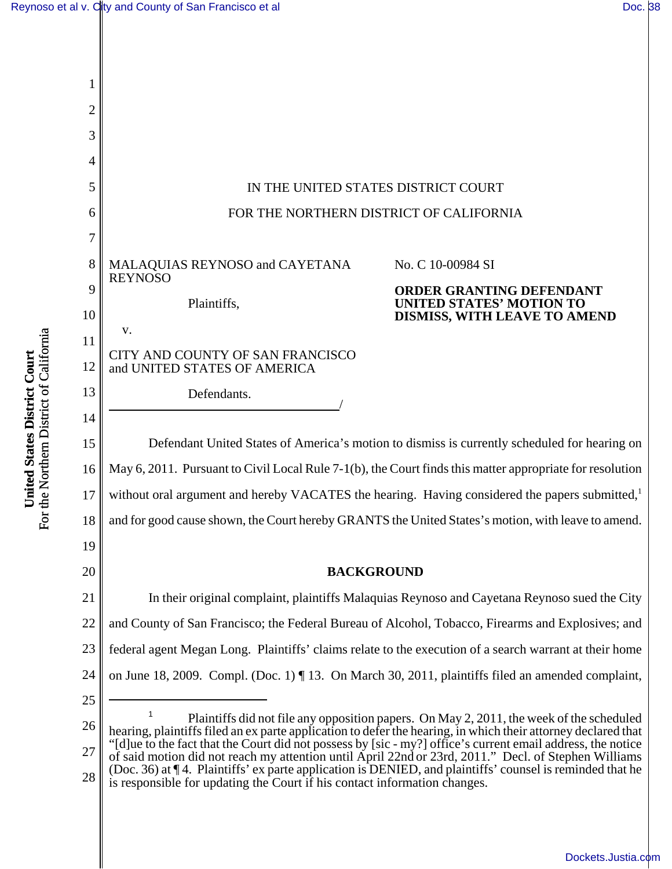[Dockets.Justia.com](http://dockets.justia.com/)



For the Northern District of California For the Northern District of California United States District Court **United States District Court**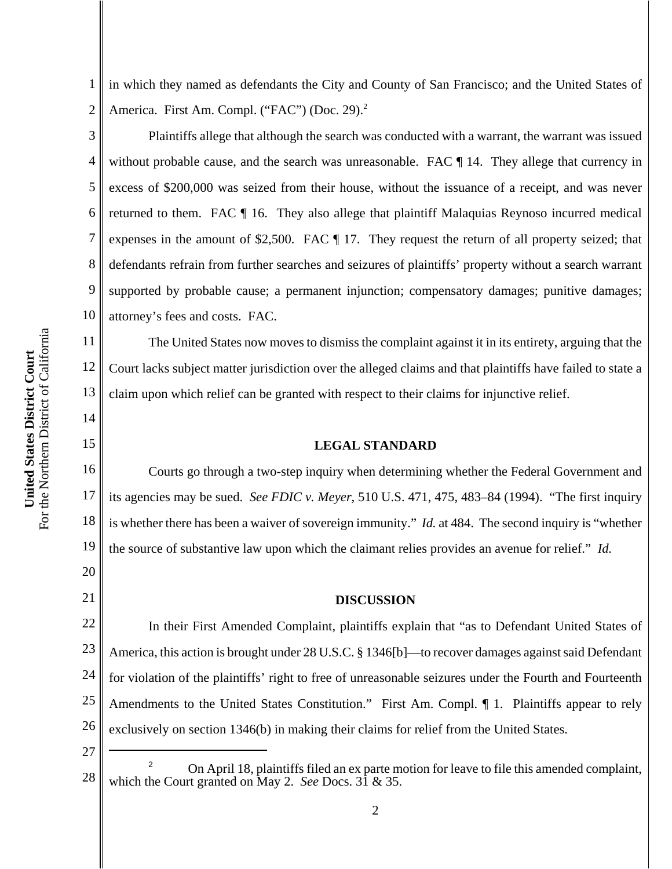1 2 in which they named as defendants the City and County of San Francisco; and the United States of America. First Am. Compl. ("FAC") (Doc. 29).<sup>2</sup>

3 4 5 6 7 8 9 10 Plaintiffs allege that although the search was conducted with a warrant, the warrant was issued without probable cause, and the search was unreasonable. FAC  $\P$  14. They allege that currency in excess of \$200,000 was seized from their house, without the issuance of a receipt, and was never returned to them. FAC ¶ 16. They also allege that plaintiff Malaquias Reynoso incurred medical expenses in the amount of \$2,500. FAC ¶ 17. They request the return of all property seized; that defendants refrain from further searches and seizures of plaintiffs' property without a search warrant supported by probable cause; a permanent injunction; compensatory damages; punitive damages; attorney's fees and costs. FAC.

The United States now moves to dismiss the complaint against it in its entirety, arguing that the Court lacks subject matter jurisdiction over the alleged claims and that plaintiffs have failed to state a claim upon which relief can be granted with respect to their claims for injunctive relief.

## **LEGAL STANDARD**

16 17 18 19 Courts go through a two-step inquiry when determining whether the Federal Government and its agencies may be sued. *See FDIC v. Meyer*, 510 U.S. 471, 475, 483–84 (1994). "The first inquiry is whether there has been a waiver of sovereign immunity." *Id.* at 484. The second inquiry is "whether the source of substantive law upon which the claimant relies provides an avenue for relief." *Id.*

## **DISCUSSION**

22 23 24 25 26 In their First Amended Complaint, plaintiffs explain that "as to Defendant United States of America, this action is brought under 28 U.S.C. § 1346[b]—to recover damages against said Defendant for violation of the plaintiffs' right to free of unreasonable seizures under the Fourth and Fourteenth Amendments to the United States Constitution." First Am. Compl. *[1]* 1. Plaintiffs appear to rely exclusively on section 1346(b) in making their claims for relief from the United States.

27

11

12

13

14

15

20

21

<sup>28</sup> <sup>2</sup> On April 18, plaintiffs filed an ex parte motion for leave to file this amended complaint, which the Court granted on May 2. *See* Docs. 31 & 35.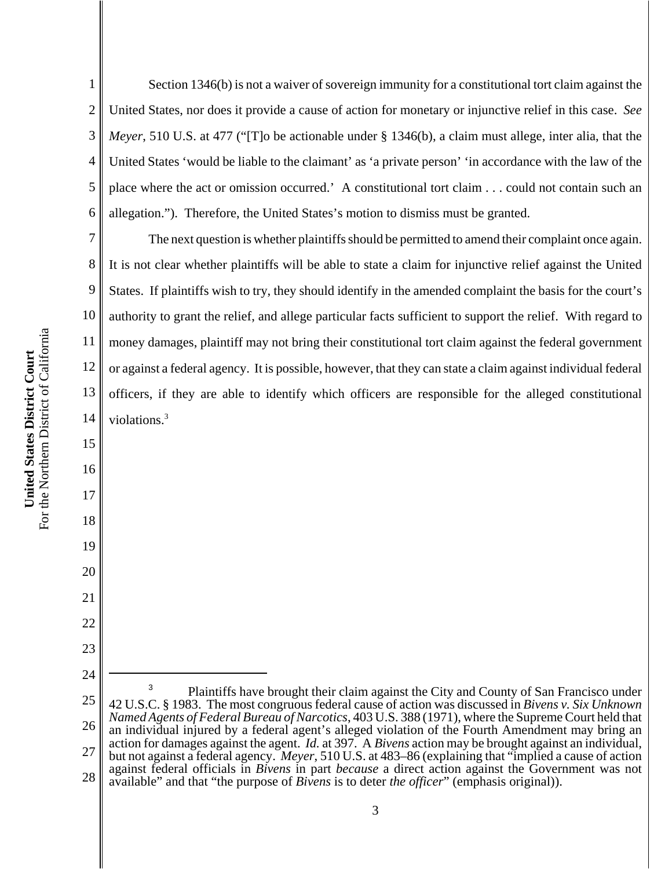2 3 4 5 6 Section 1346(b) is not a waiver of sovereign immunity for a constitutional tort claim against the United States, nor does it provide a cause of action for monetary or injunctive relief in this case. *See Meyer*, 510 U.S. at 477 ("[T]o be actionable under § 1346(b), a claim must allege, inter alia, that the United States 'would be liable to the claimant' as 'a private person' 'in accordance with the law of the place where the act or omission occurred.' A constitutional tort claim . . . could not contain such an allegation."). Therefore, the United States's motion to dismiss must be granted.

7 8 9 10 11 12 13 14 The next question is whether plaintiffs should be permitted to amend their complaint once again. It is not clear whether plaintiffs will be able to state a claim for injunctive relief against the United States. If plaintiffs wish to try, they should identify in the amended complaint the basis for the court's authority to grant the relief, and allege particular facts sufficient to support the relief. With regard to money damages, plaintiff may not bring their constitutional tort claim against the federal government or against a federal agency. It is possible, however, that they can state a claim against individual federal officers, if they are able to identify which officers are responsible for the alleged constitutional violations.<sup>3</sup>

For the Northern District of California For the Northern District of California United States District Court **United States District Court**

15

16

17

18

19

20

21

22

23

1

24 25 26 27 28 <sup>3</sup> Plaintiffs have brought their claim against the City and County of San Francisco under 42 U.S.C. § 1983. The most congruous federal cause of action was discussed in *Bivens v. Six Unknown Named Agents of Federal Bureau of Narcotics*, 403 U.S. 388 (1971), where the Supreme Court held that an individual injured by a federal agent's alleged violation of the Fourth Amendment may bring an action for damages against the agent. *Id.* at 397. A *Bivens* action may be brought against an individual, but not against a federal agency. *Meyer*, 510 U.S. at 483–86 (explaining that "implied a cause of action against federal officials in *Bivens* in part *because* a direct action against the Government was not available" and that "the purpose of *Bivens* is to deter *the officer*" (emphasis original)).